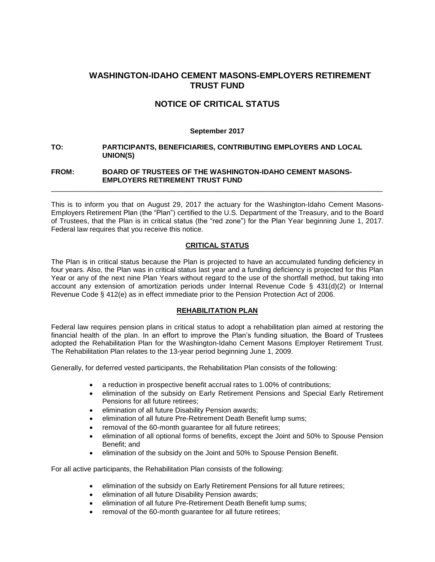## **WASHINGTON-IDAHO CEMENT MASONS-EMPLOYERS RETIREMENT TRUST FUND**

# **NOTICE OF CRITICAL STATUS**

#### **September 2017**

**TO: PARTICIPANTS, BENEFICIARIES, CONTRIBUTING EMPLOYERS AND LOCAL UNION(S)** 

#### **FROM: BOARD OF TRUSTEES OF THE WASHINGTON-IDAHO CEMENT MASONS-EMPLOYERS RETIREMENT TRUST FUND**

This is to inform you that on August 29, 2017 the actuary for the Washington-Idaho Cement Masons-Employers Retirement Plan (the "Plan") certified to the U.S. Department of the Treasury, and to the Board of Trustees, that the Plan is in critical status (the "red zone") for the Plan Year beginning June 1, 2017. Federal law requires that you receive this notice.

\_\_\_\_\_\_\_\_\_\_\_\_\_\_\_\_\_\_\_\_\_\_\_\_\_\_\_\_\_\_\_\_\_\_\_\_\_\_\_\_\_\_\_\_\_\_\_\_\_\_\_\_\_\_\_\_\_\_\_\_\_\_\_\_\_\_\_\_\_\_\_\_\_\_\_\_\_\_\_\_\_\_\_\_

## **CRITICAL STATUS**

The Plan is in critical status because the Plan is projected to have an accumulated funding deficiency in four years. Also, the Plan was in critical status last year and a funding deficiency is projected for this Plan Year or any of the next nine Plan Years without regard to the use of the shortfall method, but taking into account any extension of amortization periods under Internal Revenue Code § 431(d)(2) or Internal Revenue Code § 412(e) as in effect immediate prior to the Pension Protection Act of 2006.

## **REHABILITATION PLAN**

Federal law requires pension plans in critical status to adopt a rehabilitation plan aimed at restoring the financial health of the plan. In an effort to improve the Plan's funding situation, the Board of Trustees adopted the Rehabilitation Plan for the Washington-Idaho Cement Masons Employer Retirement Trust. The Rehabilitation Plan relates to the 13-year period beginning June 1, 2009.

Generally, for deferred vested participants, the Rehabilitation Plan consists of the following:

- a reduction in prospective benefit accrual rates to 1.00% of contributions;
- elimination of the subsidy on Early Retirement Pensions and Special Early Retirement Pensions for all future retirees;
- **e** elimination of all future Disability Pension awards;
- elimination of all future Pre-Retirement Death Benefit lump sums;
- removal of the 60-month guarantee for all future retirees;
- elimination of all optional forms of benefits, except the Joint and 50% to Spouse Pension Benefit; and
- elimination of the subsidy on the Joint and 50% to Spouse Pension Benefit.

For all active participants, the Rehabilitation Plan consists of the following:

- elimination of the subsidy on Early Retirement Pensions for all future retirees;
- **e** elimination of all future Disability Pension awards;
- **e** elimination of all future Pre-Retirement Death Benefit lump sums;
- removal of the 60-month guarantee for all future retirees;